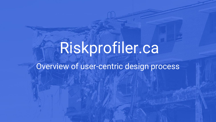# Riskprofiler.ca

# Overview of user-centric design process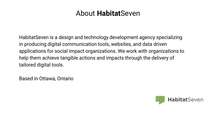#### About **Habitat**Seven

HabitatSeven is a design and technology development agency specializing in producing digital communication tools, websites, and data driven applications for social impact organizations. We work with organizations to help them achieve tangible actions and impacts through the delivery of tailored digital tools.

Based in Ottawa, Ontario

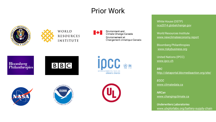## Prior Work





**RESOURCES INSTITUTE** 

Environment and Climate Change Canada Environnement et Changement climatique Canada













White House (OSTP) [nca2014.globalchange.gov](http://nca2014.globalchange.gov)

World Resources Institute [www.newclimateeconomy.report](http://www.newclimateeconomy.report)

Bloomberg Philanthropies [www.riskybusiness.org](http://www.riskybusiness.org)

United Nations (IPCC) [www.ipcc.ch](http://www.ipcc.ch)

*BBC* <http://dataportal.bbcmediaaction.org/site/>

*ECCC* [www.climatedata.ca](http://www.climatedata.ca)

*NRCan* [www.changingclimate.ca](http://www.changingclimate.ca)

*Underwriters Laboratories* www[.ulxplorlabs.org/battery-supply-chain](https://ulxplorlabs.org/battery-supply-chain/)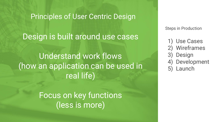#### Principles of User Centric Design

### Design is built around use cases

Understand work flows (how an application can be used in real life)

> Focus on key functions (less is more)

Steps in Production

- 1) Use Cases
- **Wireframes**
- **Design**
- **Development**
- 5) Launch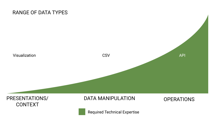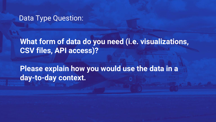#### Data Type Question:

## **What form of data do you need (i.e. visualizations, CSV files, API access)?**

**Please explain how you would use the data in a day-to-day context.**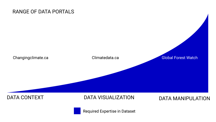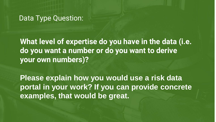#### Data Type Question:

**What level of expertise do you have in the data (i.e. do you want a number or do you want to derive your own numbers)?**

**Please explain how you would use a risk data portal in your work? If you can provide concrete examples, that would be great.**